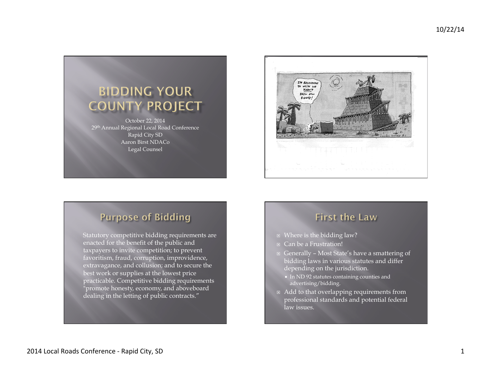



# **Purpose of Bidding**

Statutory competitive bidding requirements are enacted for the benefit of the public and taxpayers to invite competition; to prevent favoritism, fraud, corruption, improvidence, extravagance, and collusion; and to secure the best work or supplies at the lowest price practicable. Competitive bidding requirements "promote honesty, economy, and aboveboard dealing in the letting of public contracts."

## **First the Law**

- $\Box$  Where is the bidding law?
- □ Can be a Frustration!
- ¨ Generally Most State's have a smattering of bidding laws in various statutes and differ depending on the jurisdiction.
	- ¡ In ND 92 statutes containing counties and advertising/bidding.
- $\Box$  Add to that overlapping requirements from professional standards and potential federal law issues.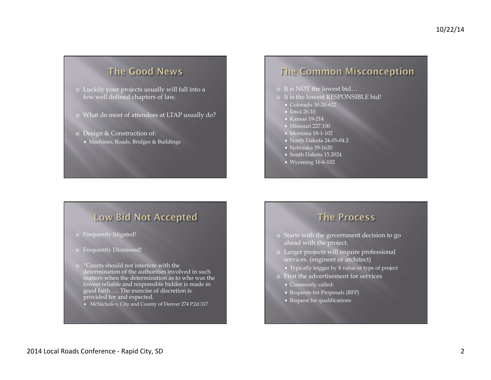## The Good News

- $\Box$  Luckily your projects usually will fall into a few well defined chapters of law.
- ¨ What do most of attendees at LTAP usually do?
- ¨ Design & Construction of:
	- ¡ Machines, Roads, Bridges & Buildings

## **The Common Misconception**

- ¨ It is NOT the lowest bid…
- □ It is the lowest RESPONSIBLE bid!
	- ¡ Colorado 30-20-622
	- Iowa 26.10
	- ¡ Kansas 19-214
	- Missouri 227.100
	- ¡ Montana 18-1-102
	- North Dakota 24-05-04.2
	- $\blacksquare$  Nebraska 39-1620
	- ¡ South Dakota 15.2024
	- ¡ Wyoming 16-6-102

## **Low Bid Not Accepted**

- Frequently litigated!
- Frequently Dismissed!
- $\Box$  "Courts should not interfere with the determination of the authorities involved in such matters when the determination as to who was the lowest reliable and responsible bidder is made in good faith….. The exercise of discretion is provided for and expected.
	- ¡ McNichols v. City and County of Denver 274 P.2d 317

### **The Process**

- ¨ Starts with the government decision to go ahead with the project.
- ¨ Larger projects will require professional services. (engineer or architect)
	- ¡ Typically trigger by \$ value or type of project
- $\Box$  First the advertisement for services
	- ¡ Commonly called:
	- ¡ Requests for Proposals (RFP)
	- ¡ Request for qualifications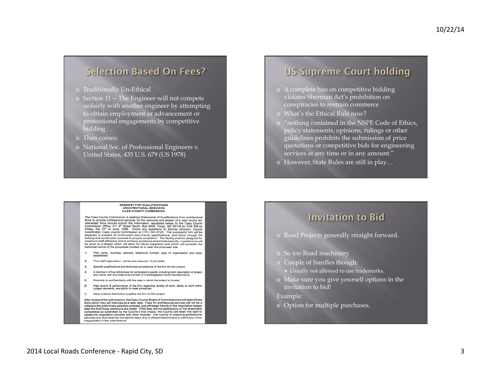### **Selection Based On Fees?**

- ¨ Traditionally Un-Ethical
- $\Box$  Section 11 -- The Engineer will not compete unfairly with another engineer by attempting to obtain employment or advancement or professional engagements by competitive bidding  $\overline{\ldots}$
- ¨ Then comes:
- ¨ National Soc. of Professional Engineers v. United States, 435 U.S. 679 (US 1978)

## **US Supreme Court holding**

- $\Box$  A complete ban on competitive bidding violates Sherman Act's prohibition on conspiracies to restrain commerce
- ¨ What's the Ethical Rule now?
- $\Box$  "nothing contained in the NSPE Code of Ethics, policy statements, opinions, rulings or other guidelines prohibits the submission of price quotations or competitive bids for engineering services at any time or in any amount."
- ¨ However, State Rules are still in play…

#### **REQUEST FOR QUALIFICATIONS ARCHITECTURAL SERVICES CASS COUNTY COMMISSION**

The Cass County Commission is seeking Statements of Qualifications from architectural<br>firms to provide professional services for the planning and design of a new county jail.<br>Interested firms should submit the information Commission Office, 211 9<sup>th</sup> Street South, Box 2806, Fargo, ND 58108 by 5:00 PM on Friday, the 19<sup>th</sup> of June, 1998. Direct any questions to Bonnie Johnson, County Coordinator, Cauthy Coordinator, Cauthy Coordinator, The s expected to prepare all construction documents, specifications, and follow through the bidding and construction process to project completion. The facility shall be designed for maximum staff efficiency and to enhance empl be given to a design which will allow for future expansion and which will consider the historical nature of the properties located at or near the proposed site.

- 1) Firm name, business address, telephone number, type of organization and when<br>established.
- 2) Firm staff organization, names and resumes' of principals.
- 3) Specific qualifications and technical competence of the firm for this project
- A minimum of five references for completed projects, including brief description of project<br>and name, title and telephone number of knowledgeable owner/representative.  $4)$
- 5) Proximity to and familiarity with the area in which the project is located.
- Past record of performance of the firm regarding quality of work, ability to work within<br>budget restraints, and ability to meet schedules.  $6)$
- 7) Other material that further qualifies the firm for this project.

After review of the submissions, the Cass County Board of Commissioners will select three firms which they will interview at a later date. Fees for architectural services will not be a criteria in the preliminary selection process, but will weigh heavily in the negotiation stages after the final three selections are made. If the fees are not satisfactory or not reasonably<br>competitive as submitted by the County's first choice, the County will retain the right to repeat the negotiation process with other finalists. The County is obtaining professional services only and reserves the right to reject any or all submissions and to waive any minor irregularities in the submissions.

### **Invitation to Bid**

- ¨ Road Projects generally straight forward.
- So too Road machinery.
- ¨ Couple of hurdles though:
- ¡ Usually not allowed to use trademarks.
- ¨ Make sure you give yourself options in the invitation to bid!
- Example:
- ¨ Option for multiple purchases.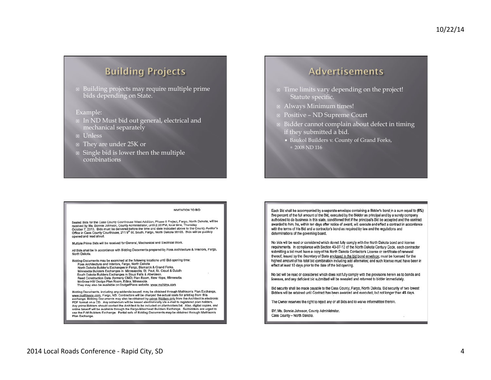## **Building Projects**

 $\Box$  Building projects may require multiple prime bids depending on State.

### Example:

- In ND Must bid out general, electrical and mechanical separately
- ¨ Unless
- They are under 25K or
- $\Box$  Single bid is lower then the multiple combinations

### Advertisements

- $\Box$  Time limits vary depending on the project! Statute specific.
- ¨ Always Minimum times!
- ¨ Positive ND Supreme Court
- $\Box$  Bidder cannot complain about defect in timing if they submitted a bid.
	- ¡ Baukol Builders v. County of Grand Forks,  $\degree$  2008 ND 116

### **INVITATION TO BID**

Sealed Bids for the Cass County Courthouse West Addition, Phase II Project, Fargo, North Dakota, will be received by Ms. Bonnie Johnson, County Administrator, until 2:00 PM, local time, Thursday October 7, 2010. Bids must be delivered before the time and date indicated above to the County Auditor's Office in Cass County Courthouse, 211 9th St. South, Fargo, North Dakota 58103. Bids will be publicly opened and read aloud.

Multiple Prime Bids will be received for General, Mechanical and Electrical Work.

All Bids shall be in accordance with Bidding Documents prepared by Foss Architecture & Interlors, Fargo, North Dakota

Bidding Documents may be examined at the following locations until Bid opening time: Foss Architecture and Interiors, Fargo, North Dakota<br>North Dakota Builder's Exchanges in Fargo, Bismarck & Grand Forks. Minnesota Builders Exchanges in Minneapolis, St. Paul, St. Cloud & Duluth South Dakota Builders Exchanges in Sioux Falls & Aberdeen. Reed Construction Data (formerly CMD) Plan Room, New Hope, Minnesota<br>McGraw Hill/ Dodge Plan Room, Edina, Minnesota. They may also be available on Dodge/Plans website. www.mghims.com

Bidding Documents, including any addenda issued, may be obtained through Mathison's Plan Exchange,<br>www.mathisons.com, Fargo, ND. Contractors will be charged the actual costs for printing from this exchange. Bidding Documents may also be obtained by prime Bidders only from the Architect in electronic PDF format on a CD. Any addendum will be issued electronically via e-mail to registered plan holders.<br>Any prime Bidders should contact the Architect to be included on planholders list. Also, digital copies, and online takeoff will be available through the Fargo-Moorhead Builders Exchange. Subbidders are urged to use the F-M Builders Exchange. Partial sets of Bidding Documents may be obtained through Mathison's Plan Exchange.

Each Bid shall be accompanied by a separate envelope containing a Bidder's bond in a sum equal to (5%) five percent of the full amount of the Bid, executed by the Bidder as principal and by a surety company authorized to do business in this state, conditioned that if the principal's Bid be accepted and the contract awarded to him, he, within ten days after notice of award, will execute and effect a contract in accordance with the terms of his Bid and a contractor's bond as required by law and the regulations and determinations of the governing board.

No bids will be read or considered which do not fully comply with the North Dakota bond and license requirements. In compliance with Section 43-07-12 of the North Dakota Century Code, each contractor submitting a bid must have a copy of his North Dakota Contactor's License or certificate of renewal thereof, issued by the Secretary of State enclosed in the bid bond envelope; must be licensed for the highest amount of his total bid combination including add alternates; and such license must have been in effect at least 10 days prior to the date of the bid opening.

No bid will be read or considered which does not fully comply with the provisions herein as to bonds and licenses, and any deficient bid submitted will be resealed and returned to bidder immediately.

Bid security shall be made payable to the Cass County, Fargo, North Dakota. Bid security of two lowest Bidders will be retained until Contract has been awarded and executed, but not longer than 45 days.

The Owner reserves the right to reject any or all Bids and to waive informalities therein.

BY: Ms. Bonnie Johnson, County Administrator. Cass County - North Dakota.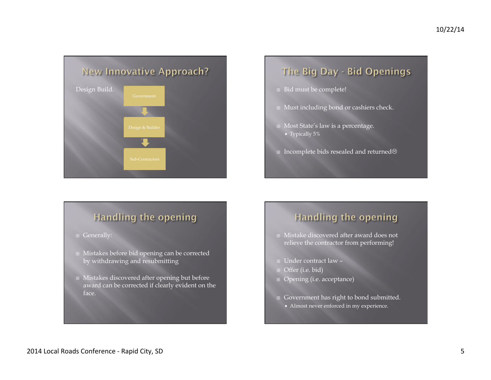

# The Big Day - Bid Openings

- Bid must be complete!
- ¨ Must including bond or cashiers check.
- ¨ Most State's law is a percentage. ¡ Typically 5%
- □ Incomplete bids resealed and returned $\odot$

## Handling the opening

- 
- ¨ Mistakes before bid opening can be corrected by withdrawing and resubmitting
- ¨ Mistakes discovered after opening but before award can be corrected if clearly evident on the face.

## Handling the opening

- ¨ Mistake discovered after award does not relieve the contractor from performing!
- ¨ Under contract law –
- □ Offer (i.e. bid)
- ¨ Opening (i.e. acceptance)
- Government has right to bond submitted.
	- ¡ Almost never enforced in my experience.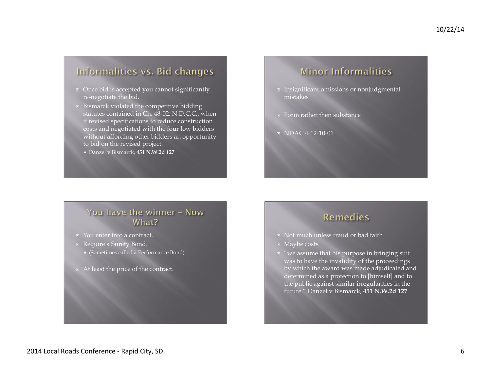## Informalities vs. Bid changes

- ¨ Once bid is accepted you cannot significantly re-negotiate the bid.
- $\Box$  Bismarck violated the competitive bidding statutes contained in Ch. 48-02, N.D.C.C., when it revised specifications to reduce construction costs and negotiated with the four low bidders without affording other bidders an opportunity to bid on the revised project.
	- ¡ Danzel v Bismarck, **451 N.W.2d 127**

## **Minor Informalities**

- □ Insignificant omissions or nonjudgmental mistakes
- ¨ Form rather then substance
- $\Box$  NDAC 4-12-10-01

### You have the winner - Now What?

- ¨ You enter into a contract.
- Require a Surety Bond.
	- ¡ (Sometimes called a Performance Bond)
- At least the price of the contract.

### **Remedies**

- □ Not much unless fraud or bad faith
- ¨ Maybe costs
- $\Box$  "we assume that his purpose in bringing suit was to have the invalidity of the proceedings by which the award was made adjudicated and determined as a protection to [himself] and to the public against similar irregularities in the future." Danzel v Bismarck, **451 N.W.2d 127**